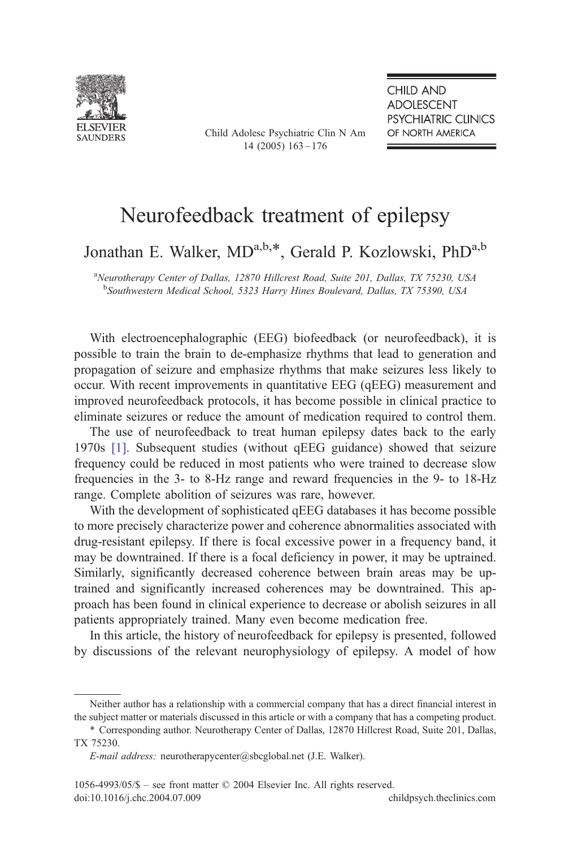

Child Adolesc Psychiatric Clin N Am 14 (2005) 163 – 176

**CHILD AND ADOIFSCENT PSYCHIATRIC CLINICS** OF NORTH AMERICA

# Neurofeedback treatment of epilepsy

Jonathan E. Walker, MD<sup>a,b,\*</sup>, Gerald P. Kozlowski, PhD<sup>a,b</sup>

<sup>a</sup>Neurotherapy Center of Dallas, 12870 Hillcrest Road, Suite 201, Dallas, TX 75230, USA **b**<br>Southwestern Medical School, 5323 Harry Hines Boulevard, Dallas, TX 75390, USA

With electroencephalographic (EEG) biofeedback (or neurofeedback), it is possible to train the brain to de-emphasize rhythms that lead to generation and propagation of seizure and emphasize rhythms that make seizures less likely to occur. With recent improvements in quantitative EEG (qEEG) measurement and improved neurofeedback protocols, it has become possible in clinical practice to eliminate seizures or reduce the amount of medication required to control them.

The use of neurofeedback to treat human epilepsy dates back to the early 1970s [\[1\].](#page-11-0) Subsequent studies (without qEEG guidance) showed that seizure frequency could be reduced in most patients who were trained to decrease slow frequencies in the 3- to 8-Hz range and reward frequencies in the 9- to 18-Hz range. Complete abolition of seizures was rare, however.

With the development of sophisticated qEEG databases it has become possible to more precisely characterize power and coherence abnormalities associated with drug-resistant epilepsy. If there is focal excessive power in a frequency band, it may be downtrained. If there is a focal deficiency in power, it may be uptrained. Similarly, significantly decreased coherence between brain areas may be uptrained and significantly increased coherences may be downtrained. This approach has been found in clinical experience to decrease or abolish seizures in all patients appropriately trained. Many even become medication free.

In this article, the history of neurofeedback for epilepsy is presented, followed by discussions of the relevant neurophysiology of epilepsy. A model of how

Neither author has a relationship with a commercial company that has a direct financial interest in the subject matter or materials discussed in this article or with a company that has a competing product.

<sup>\*</sup> Corresponding author. Neurotherapy Center of Dallas, 12870 Hillcrest Road, Suite 201, Dallas, TX 75230.

E-mail address: neurotherapycenter@sbcglobal.net (J.E. Walker).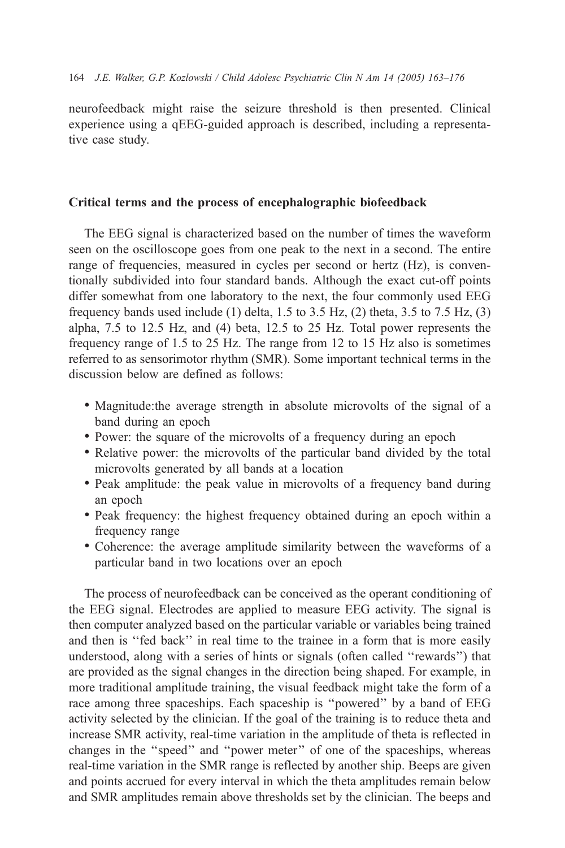neurofeedback might raise the seizure threshold is then presented. Clinical experience using a qEEG-guided approach is described, including a representative case study.

### Critical terms and the process of encephalographic biofeedback

The EEG signal is characterized based on the number of times the waveform seen on the oscilloscope goes from one peak to the next in a second. The entire range of frequencies, measured in cycles per second or hertz (Hz), is conventionally subdivided into four standard bands. Although the exact cut-off points differ somewhat from one laboratory to the next, the four commonly used EEG frequency bands used include (1) delta,  $1.5$  to  $3.5$  Hz, (2) theta,  $3.5$  to  $7.5$  Hz, (3) alpha, 7.5 to 12.5 Hz, and (4) beta, 12.5 to 25 Hz. Total power represents the frequency range of 1.5 to 25 Hz. The range from 12 to 15 Hz also is sometimes referred to as sensorimotor rhythm (SMR). Some important technical terms in the discussion below are defined as follows:

- ! Magnitude:the average strength in absolute microvolts of the signal of a band during an epoch
- ! Power: the square of the microvolts of a frequency during an epoch
- ! Relative power: the microvolts of the particular band divided by the total microvolts generated by all bands at a location
- ! Peak amplitude: the peak value in microvolts of a frequency band during an epoch
- ! Peak frequency: the highest frequency obtained during an epoch within a frequency range
- ! Coherence: the average amplitude similarity between the waveforms of a particular band in two locations over an epoch

The process of neurofeedback can be conceived as the operant conditioning of the EEG signal. Electrodes are applied to measure EEG activity. The signal is then computer analyzed based on the particular variable or variables being trained and then is ''fed back'' in real time to the trainee in a form that is more easily understood, along with a series of hints or signals (often called ''rewards'') that are provided as the signal changes in the direction being shaped. For example, in more traditional amplitude training, the visual feedback might take the form of a race among three spaceships. Each spaceship is ''powered'' by a band of EEG activity selected by the clinician. If the goal of the training is to reduce theta and increase SMR activity, real-time variation in the amplitude of theta is reflected in changes in the ''speed'' and ''power meter'' of one of the spaceships, whereas real-time variation in the SMR range is reflected by another ship. Beeps are given and points accrued for every interval in which the theta amplitudes remain below and SMR amplitudes remain above thresholds set by the clinician. The beeps and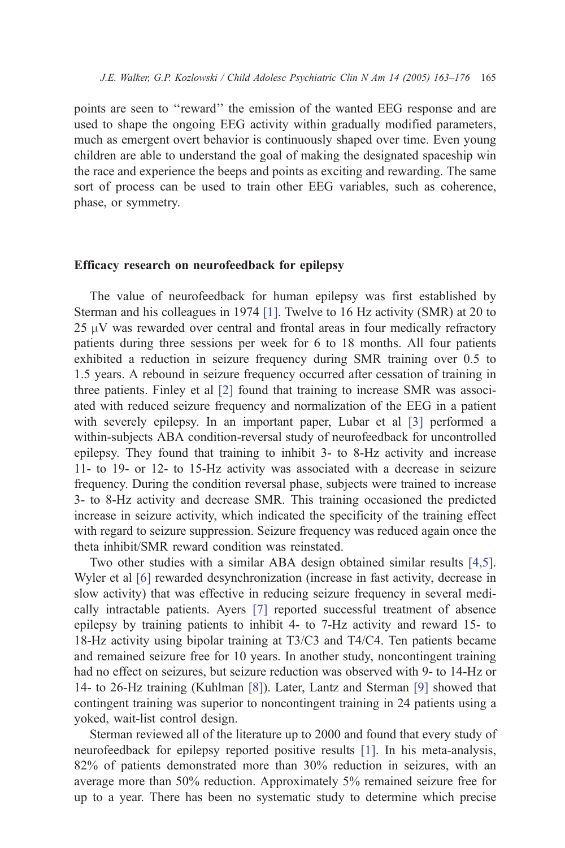points are seen to ''reward'' the emission of the wanted EEG response and are used to shape the ongoing EEG activity within gradually modified parameters, much as emergent overt behavior is continuously shaped over time. Even young children are able to understand the goal of making the designated spaceship win the race and experience the beeps and points as exciting and rewarding. The same sort of process can be used to train other EEG variables, such as coherence, phase, or symmetry.

#### Efficacy research on neurofeedback for epilepsy

The value of neurofeedback for human epilepsy was first established by Sterman and his colleagues in 1974 [\[1\].](#page-11-0) Twelve to 16 Hz activity (SMR) at 20 to  $25 \mu V$  was rewarded over central and frontal areas in four medically refractory patients during three sessions per week for 6 to 18 months. All four patients exhibited a reduction in seizure frequency during SMR training over 0.5 to 1.5 years. A rebound in seizure frequency occurred after cessation of training in three patients. Finley et al [\[2\]](#page-11-0) found that training to increase SMR was associated with reduced seizure frequency and normalization of the EEG in a patient with severely epilepsy. In an important paper, Lubar et al [\[3\]](#page-11-0) performed a within-subjects ABA condition-reversal study of neurofeedback for uncontrolled epilepsy. They found that training to inhibit 3- to 8-Hz activity and increase 11- to 19- or 12- to 15-Hz activity was associated with a decrease in seizure frequency. During the condition reversal phase, subjects were trained to increase 3- to 8-Hz activity and decrease SMR. This training occasioned the predicted increase in seizure activity, which indicated the specificity of the training effect with regard to seizure suppression. Seizure frequency was reduced again once the theta inhibit/SMR reward condition was reinstated.

Two other studies with a similar ABA design obtained similar results [\[4,5\].](#page-11-0) Wyler et al [\[6\]](#page-11-0) rewarded desynchronization (increase in fast activity, decrease in slow activity) that was effective in reducing seizure frequency in several medically intractable patients. Ayers [\[7\]](#page-11-0) reported successful treatment of absence epilepsy by training patients to inhibit 4- to 7-Hz activity and reward 15- to 18-Hz activity using bipolar training at T3/C3 and T4/C4. Ten patients became and remained seizure free for 10 years. In another study, noncontingent training had no effect on seizures, but seizure reduction was observed with 9- to 14-Hz or 14- to 26-Hz training (Kuhlman [\[8\]\)](#page-11-0). Later, Lantz and Sterman [\[9\]](#page-11-0) showed that contingent training was superior to noncontingent training in 24 patients using a yoked, wait-list control design.

Sterman reviewed all of the literature up to 2000 and found that every study of neurofeedback for epilepsy reported positive results [\[1\].](#page-11-0) In his meta-analysis, 82% of patients demonstrated more than 30% reduction in seizures, with an average more than 50% reduction. Approximately 5% remained seizure free for up to a year. There has been no systematic study to determine which precise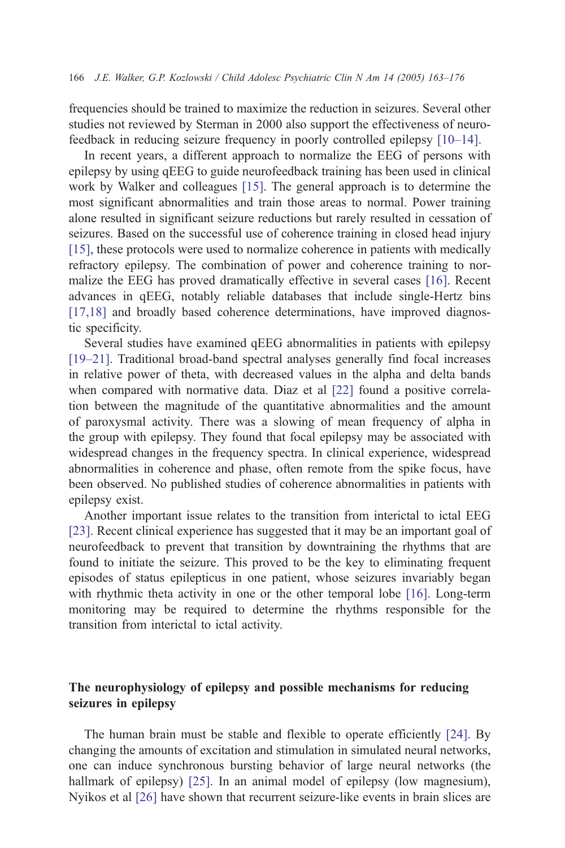frequencies should be trained to maximize the reduction in seizures. Several other studies not reviewed by Sterman in 2000 also support the effectiveness of neurofeedback in reducing seizure frequency in poorly controlled epilepsy [\[10–14\].](#page-11-0)

In recent years, a different approach to normalize the EEG of persons with epilepsy by using qEEG to guide neurofeedback training has been used in clinical work by Walker and colleagues [\[15\].](#page-12-0) The general approach is to determine the most significant abnormalities and train those areas to normal. Power training alone resulted in significant seizure reductions but rarely resulted in cessation of seizures. Based on the successful use of coherence training in closed head injury [\[15\],](#page-12-0) these protocols were used to normalize coherence in patients with medically refractory epilepsy. The combination of power and coherence training to normalize the EEG has proved dramatically effective in several cases [\[16\].](#page-12-0) Recent advances in qEEG, notably reliable databases that include single-Hertz bins [\[17,18\]](#page-12-0) and broadly based coherence determinations, have improved diagnostic specificity.

Several studies have examined qEEG abnormalities in patients with epilepsy [\[19–21\].](#page-12-0) Traditional broad-band spectral analyses generally find focal increases in relative power of theta, with decreased values in the alpha and delta bands when compared with normative data. Diaz et al [\[22\]](#page-12-0) found a positive correlation between the magnitude of the quantitative abnormalities and the amount of paroxysmal activity. There was a slowing of mean frequency of alpha in the group with epilepsy. They found that focal epilepsy may be associated with widespread changes in the frequency spectra. In clinical experience, widespread abnormalities in coherence and phase, often remote from the spike focus, have been observed. No published studies of coherence abnormalities in patients with epilepsy exist.

Another important issue relates to the transition from interictal to ictal EEG [\[23\].](#page-12-0) Recent clinical experience has suggested that it may be an important goal of neurofeedback to prevent that transition by downtraining the rhythms that are found to initiate the seizure. This proved to be the key to eliminating frequent episodes of status epilepticus in one patient, whose seizures invariably began with rhythmic theta activity in one or the other temporal lobe [\[16\].](#page-12-0) Long-term monitoring may be required to determine the rhythms responsible for the transition from interictal to ictal activity.

## The neurophysiology of epilepsy and possible mechanisms for reducing seizures in epilepsy

The human brain must be stable and flexible to operate efficiently [\[24\].](#page-12-0) By changing the amounts of excitation and stimulation in simulated neural networks, one can induce synchronous bursting behavior of large neural networks (the hallmark of epilepsy) [\[25\].](#page-12-0) In an animal model of epilepsy (low magnesium), Nyikos et al [\[26\]](#page-12-0) have shown that recurrent seizure-like events in brain slices are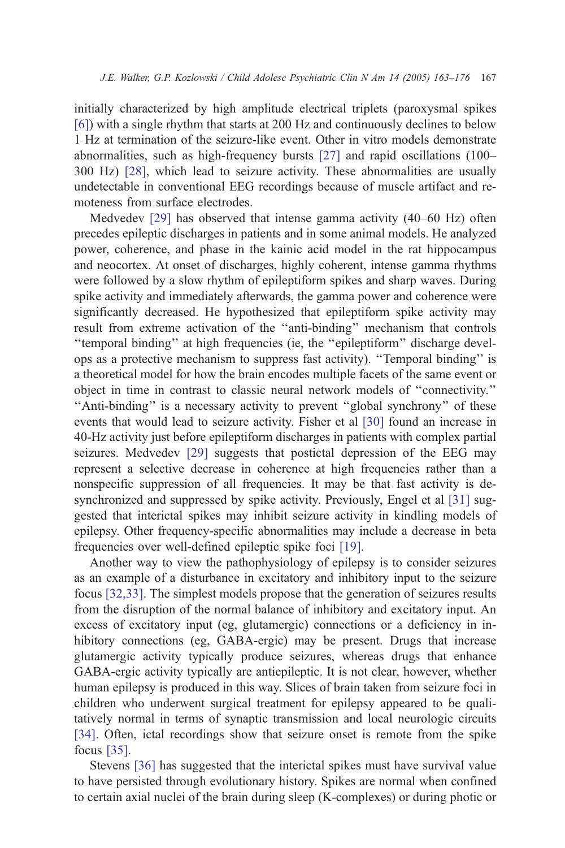initially characterized by high amplitude electrical triplets (paroxysmal spikes [\[6\]](#page-11-0)) with a single rhythm that starts at 200 Hz and continuously declines to below 1 Hz at termination of the seizure-like event. Other in vitro models demonstrate abnormalities, such as high-frequency bursts [\[27\]](#page-12-0) and rapid oscillations (100– 300 Hz) [\[28\],](#page-12-0) which lead to seizure activity. These abnormalities are usually undetectable in conventional EEG recordings because of muscle artifact and remoteness from surface electrodes.

Medvedev [\[29\]](#page-12-0) has observed that intense gamma activity (40–60 Hz) often precedes epileptic discharges in patients and in some animal models. He analyzed power, coherence, and phase in the kainic acid model in the rat hippocampus and neocortex. At onset of discharges, highly coherent, intense gamma rhythms were followed by a slow rhythm of epileptiform spikes and sharp waves. During spike activity and immediately afterwards, the gamma power and coherence were significantly decreased. He hypothesized that epileptiform spike activity may result from extreme activation of the ''anti-binding'' mechanism that controls ''temporal binding'' at high frequencies (ie, the ''epileptiform'' discharge develops as a protective mechanism to suppress fast activity). ''Temporal binding'' is a theoretical model for how the brain encodes multiple facets of the same event or object in time in contrast to classic neural network models of ''connectivity.'' "Anti-binding" is a necessary activity to prevent "global synchrony" of these events that would lead to seizure activity. Fisher et al [\[30\]](#page-12-0) found an increase in 40-Hz activity just before epileptiform discharges in patients with complex partial seizures. Medvedev [\[29\]](#page-12-0) suggests that postictal depression of the EEG may represent a selective decrease in coherence at high frequencies rather than a nonspecific suppression of all frequencies. It may be that fast activity is desynchronized and suppressed by spike activity. Previously, Engel et al [\[31\]](#page-12-0) suggested that interictal spikes may inhibit seizure activity in kindling models of epilepsy. Other frequency-specific abnormalities may include a decrease in beta frequencies over well-defined epileptic spike foci [\[19\].](#page-12-0)

Another way to view the pathophysiology of epilepsy is to consider seizures as an example of a disturbance in excitatory and inhibitory input to the seizure focus [\[32,33\].](#page-12-0) The simplest models propose that the generation of seizures results from the disruption of the normal balance of inhibitory and excitatory input. An excess of excitatory input (eg, glutamergic) connections or a deficiency in inhibitory connections (eg, GABA-ergic) may be present. Drugs that increase glutamergic activity typically produce seizures, whereas drugs that enhance GABA-ergic activity typically are antiepileptic. It is not clear, however, whether human epilepsy is produced in this way. Slices of brain taken from seizure foci in children who underwent surgical treatment for epilepsy appeared to be qualitatively normal in terms of synaptic transmission and local neurologic circuits [\[34\]](#page-12-0). Often, ictal recordings show that seizure onset is remote from the spike focus [\[35\].](#page-12-0)

Stevens [\[36\]](#page-13-0) has suggested that the interictal spikes must have survival value to have persisted through evolutionary history. Spikes are normal when confined to certain axial nuclei of the brain during sleep (K-complexes) or during photic or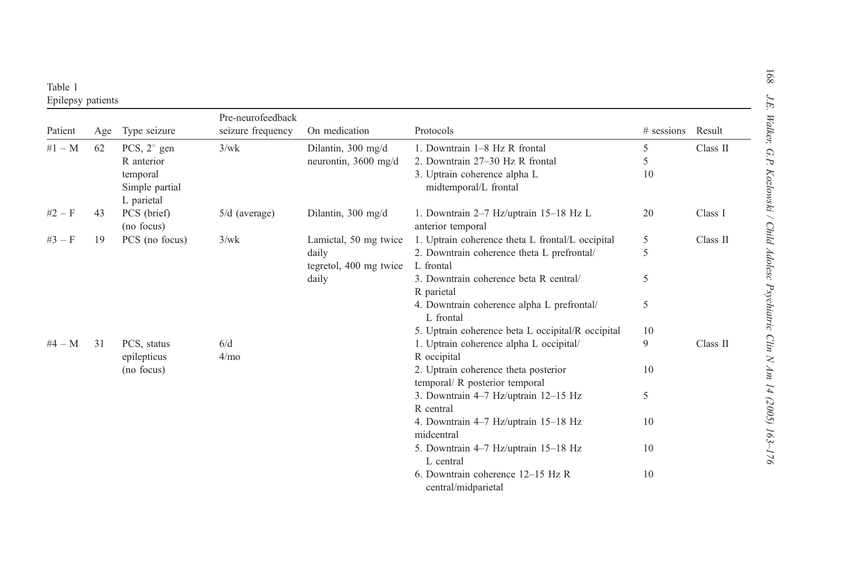<span id="page-5-0"></span>

| Table 1           |  |
|-------------------|--|
| Epilepsy patients |  |

|          |     |                                          | Pre-neurofeedback |                        |                                                             |              |          |
|----------|-----|------------------------------------------|-------------------|------------------------|-------------------------------------------------------------|--------------|----------|
| Patient  | Age | Type seizure                             | seizure frequency | On medication          | Protocols                                                   | $#$ sessions | Result   |
| $#1 - M$ | 62  | PCS, $2^{\circ}$ gen                     | 3/wk              | Dilantin, 300 mg/d     | 1. Downtrain 1-8 Hz R frontal                               | 5            | Class II |
|          |     | R anterior                               |                   | neurontin, 3600 mg/d   | 2. Downtrain 27-30 Hz R frontal                             | 5            |          |
|          |     | temporal<br>Simple partial<br>L parietal |                   |                        | 3. Uptrain coherence alpha L<br>midtemporal/L frontal       | 10           |          |
| $#2 - F$ | 43  | PCS (brief)<br>(no focus)                | $5/d$ (average)   | Dilantin, 300 mg/d     | 1. Downtrain 2-7 Hz/uptrain 15-18 Hz L<br>anterior temporal | 20           | Class I  |
| $#3-F$   | 19  | PCS (no focus)                           | 3/wk              | Lamictal, 50 mg twice  | 1. Uptrain coherence theta L frontal/L occipital            | 5            | Class II |
|          |     |                                          |                   | daily                  | 2. Downtrain coherence theta L prefrontal/                  | 5            |          |
|          |     |                                          |                   | tegretol, 400 mg twice | L frontal                                                   |              |          |
|          |     |                                          |                   | daily                  | 3. Downtrain coherence beta R central/                      | 5            |          |
|          |     |                                          |                   |                        | R parietal                                                  |              |          |
|          |     |                                          |                   |                        | 4. Downtrain coherence alpha L prefrontal/                  | 5            |          |
|          |     |                                          |                   |                        | L frontal                                                   |              |          |
|          |     |                                          |                   |                        | 5. Uptrain coherence beta L occipital/R occipital           | 10           |          |
| $#4 - M$ | 31  | PCS, status                              | 6/d               |                        | 1. Uptrain coherence alpha L occipital/                     | 9            | Class II |
|          |     | epilepticus                              | 4/m <sub>o</sub>  |                        | R occipital                                                 |              |          |
|          |     | (no focus)                               |                   |                        | 2. Uptrain coherence theta posterior                        | 10           |          |
|          |     |                                          |                   |                        | temporal/ R posterior temporal                              |              |          |
|          |     |                                          |                   |                        | 3. Downtrain 4-7 Hz/uptrain 12-15 Hz                        | 5            |          |
|          |     |                                          |                   |                        | R central                                                   |              |          |
|          |     |                                          |                   |                        | 4. Downtrain 4-7 Hz/uptrain 15-18 Hz<br>midcentral          | 10           |          |
|          |     |                                          |                   |                        | 5. Downtrain 4–7 Hz/uptrain 15–18 Hz<br>L central           | 10           |          |
|          |     |                                          |                   |                        | 6. Downtrain coherence 12–15 Hz R<br>central/midparietal    | 10           |          |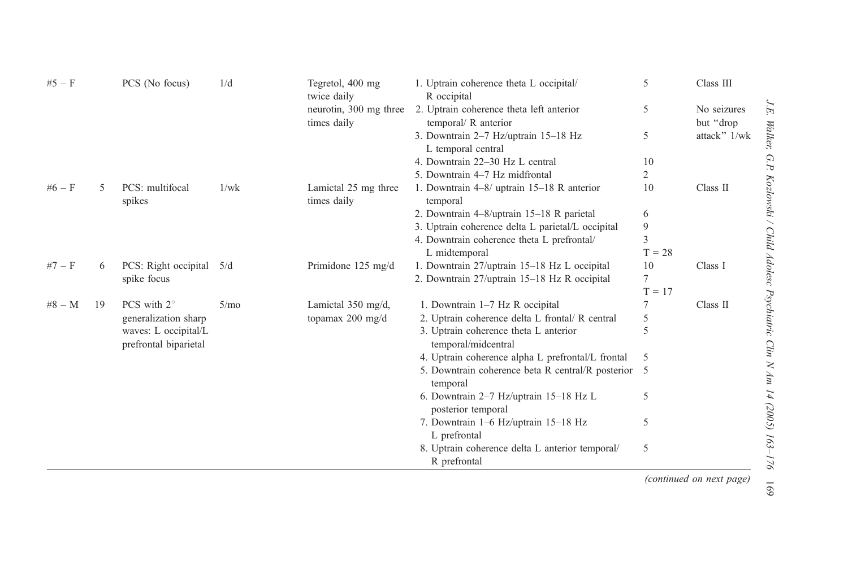| $#5-F$   |    | PCS (No focus)                                | 1/d  | Tegretol, 400 mg<br>twice daily     | 5<br>Class III<br>1. Uptrain coherence theta L occipital/<br>R occipital                |                                     |
|----------|----|-----------------------------------------------|------|-------------------------------------|-----------------------------------------------------------------------------------------|-------------------------------------|
|          |    |                                               |      | neurotin, 300 mg three              | 5<br>2. Uptrain coherence theta left anterior<br>but "drop                              | J.E.<br>No seizures                 |
|          |    |                                               |      | times daily                         | temporal/ R anterior<br>5<br>3. Downtrain 2-7 Hz/uptrain 15-18 Hz<br>L temporal central | Walker,<br>attack" 1/wk             |
|          |    |                                               |      |                                     | 4. Downtrain 22-30 Hz L central<br>10                                                   | G.P                                 |
|          |    |                                               |      |                                     | 5. Downtrain 4-7 Hz midfrontal<br>2                                                     |                                     |
| #6 $-$ F | 5  | PCS: multifocal<br>spikes                     | 1/wk | Lamictal 25 mg three<br>times daily | 1. Downtrain $4-8$ / uptrain $15-18$ R anterior<br>10<br>Class II<br>temporal           | Kozlowski /                         |
|          |    |                                               |      |                                     | 2. Downtrain 4-8/uptrain 15-18 R parietal<br>6                                          |                                     |
|          |    |                                               |      |                                     | 3. Uptrain coherence delta L parietal/L occipital<br>9                                  |                                     |
|          |    |                                               |      |                                     | 3<br>4. Downtrain coherence theta L prefrontal/                                         |                                     |
|          |    |                                               |      |                                     | L midtemporal<br>$T = 28$                                                               |                                     |
| $#7-F$   | 6  | PCS: Right occipital 5/d                      |      | Primidone 125 mg/d                  | 1. Downtrain 27/uptrain 15-18 Hz L occipital<br>10<br>Class I                           |                                     |
|          |    | spike focus                                   |      |                                     | 7<br>2. Downtrain 27/uptrain 15-18 Hz R occipital                                       |                                     |
|          |    |                                               |      |                                     | $T = 17$                                                                                |                                     |
| #8 $-$ M | 19 | PCS with $2^\circ$                            | 5/mo | Lamictal $350 \text{ mg/d}$ ,       | Class II<br>1. Downtrain 1-7 Hz R occipital                                             |                                     |
|          |    | generalization sharp                          |      | topamax 200 mg/d                    | 2. Uptrain coherence delta L frontal/ R central<br>5                                    |                                     |
|          |    | waves: L occipital/L<br>prefrontal biparietal |      |                                     | 3. Uptrain coherence theta L anterior<br>5<br>temporal/midcentral                       |                                     |
|          |    |                                               |      |                                     | 4. Uptrain coherence alpha L prefrontal/L frontal<br>5                                  |                                     |
|          |    |                                               |      |                                     | 5. Downtrain coherence beta R central/R posterior<br>-5<br>temporal                     | Child Adolesc Psychiatric Clin N Am |
|          |    |                                               |      |                                     | 6. Downtrain 2-7 Hz/uptrain 15-18 Hz L<br>5<br>posterior temporal                       |                                     |
|          |    |                                               |      |                                     | 7. Downtrain 1-6 Hz/uptrain 15-18 Hz<br>5<br>L prefrontal                               |                                     |
|          |    |                                               |      |                                     | 5<br>8. Uptrain coherence delta L anterior temporal/<br>R prefrontal                    | 14 (2005) 163-176                   |

(continued on next page)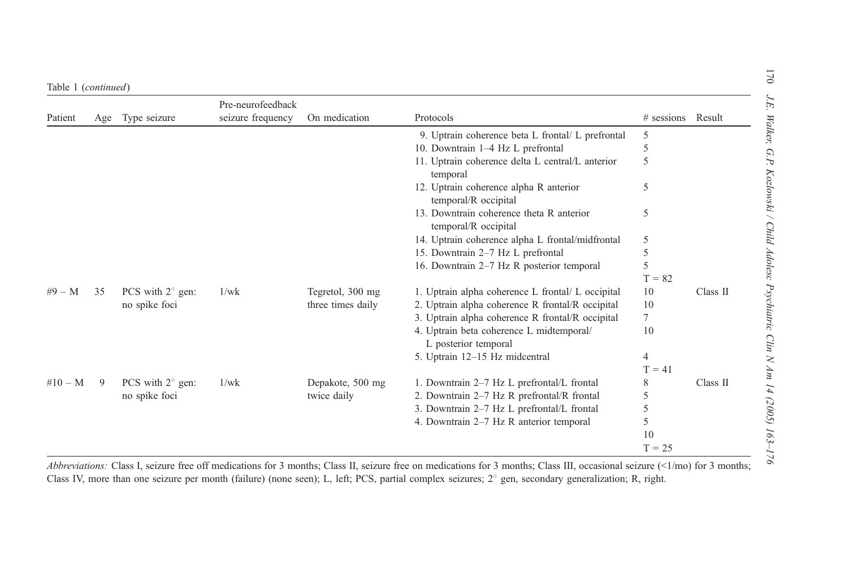|  | Table 1 (continued) |
|--|---------------------|
|--|---------------------|

| Patient  |     |                           | Pre-neurofeedback<br>seizure frequency | On medication     | Protocols                                                        | $#$ sessions Result |          |
|----------|-----|---------------------------|----------------------------------------|-------------------|------------------------------------------------------------------|---------------------|----------|
|          | Age | Type seizure              |                                        |                   |                                                                  |                     |          |
|          |     |                           |                                        |                   | 9. Uptrain coherence beta L frontal/ L prefrontal                | 5                   |          |
|          |     |                           |                                        |                   | 10. Downtrain 1-4 Hz L prefrontal                                | 5                   |          |
|          |     |                           |                                        |                   | 11. Uptrain coherence delta L central/L anterior<br>temporal     | 5                   |          |
|          |     |                           |                                        |                   | 12. Uptrain coherence alpha R anterior<br>temporal/R occipital   | 5                   |          |
|          |     |                           |                                        |                   | 13. Downtrain coherence theta R anterior<br>temporal/R occipital | 5                   |          |
|          |     |                           |                                        |                   | 14. Uptrain coherence alpha L frontal/midfrontal                 | 5                   |          |
|          |     |                           |                                        |                   | 15. Downtrain 2-7 Hz L prefrontal                                | 5                   |          |
|          |     |                           |                                        |                   | 16. Downtrain 2–7 Hz R posterior temporal                        | 5                   |          |
|          |     |                           |                                        |                   |                                                                  | $T = 82$            |          |
| $#9 - M$ | 35  | PCS with $2^{\circ}$ gen: | 1/wk                                   | Tegretol, 300 mg  | 1. Uptrain alpha coherence L frontal/ L occipital                | 10                  | Class II |
|          |     | no spike foci             |                                        | three times daily | 2. Uptrain alpha coherence R frontal/R occipital                 | 10                  |          |
|          |     |                           |                                        |                   | 3. Uptrain alpha coherence R frontal/R occipital                 | 7                   |          |
|          |     |                           |                                        |                   | 4. Uptrain beta coherence L midtemporal/                         | 10                  |          |
|          |     |                           |                                        |                   | L posterior temporal                                             |                     |          |
|          |     |                           |                                        |                   | 5. Uptrain 12-15 Hz midcentral                                   | $\overline{4}$      |          |
|          |     |                           |                                        |                   |                                                                  | $T = 41$            |          |
| #10 – M  | 9   | PCS with $2^{\circ}$ gen: | 1/wk                                   | Depakote, 500 mg  | 1. Downtrain 2–7 Hz L prefrontal/L frontal                       | 8                   | Class II |
|          |     | no spike foci             |                                        | twice daily       | 2. Downtrain 2–7 Hz R prefrontal/R frontal                       | 5                   |          |
|          |     |                           |                                        |                   | 3. Downtrain 2-7 Hz L prefrontal/L frontal                       | 5                   |          |
|          |     |                           |                                        |                   | 4. Downtrain 2-7 Hz R anterior temporal                          | 5                   |          |
|          |     |                           |                                        |                   |                                                                  | 10                  |          |
|          |     |                           |                                        |                   |                                                                  | $T = 25$            |          |

Abbreviations: Class I, seizure free off medications for 3 months; Class II, seizure free on medications for 3 months; Class III, occasional seizure  $(\leq 1/m$  for 3 months; Class IV, more than one seizure per month (failure) (none seen); L, left; PCS, partial complex seizures;  $2^\circ$  gen, secondary generalization; R, right.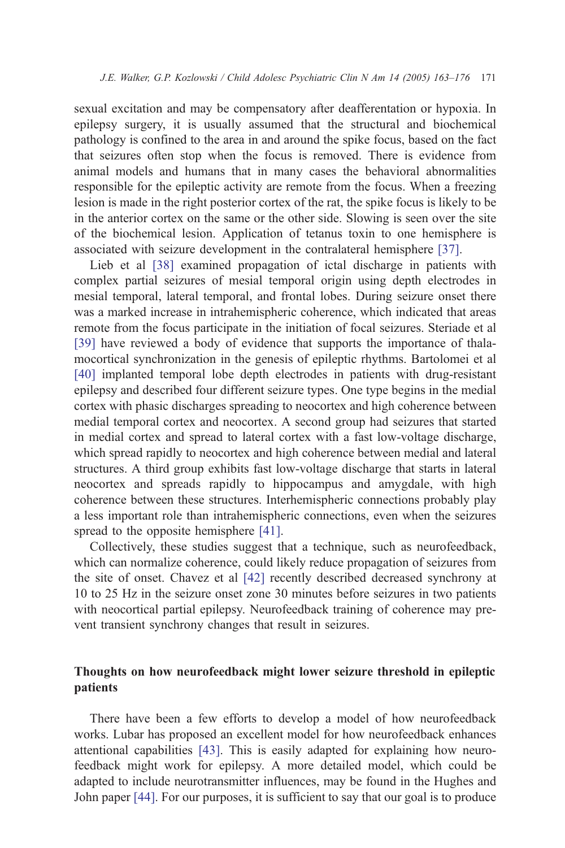sexual excitation and may be compensatory after deafferentation or hypoxia. In epilepsy surgery, it is usually assumed that the structural and biochemical pathology is confined to the area in and around the spike focus, based on the fact that seizures often stop when the focus is removed. There is evidence from animal models and humans that in many cases the behavioral abnormalities responsible for the epileptic activity are remote from the focus. When a freezing lesion is made in the right posterior cortex of the rat, the spike focus is likely to be in the anterior cortex on the same or the other side. Slowing is seen over the site of the biochemical lesion. Application of tetanus toxin to one hemisphere is associated with seizure development in the contralateral hemisphere [\[37\].](#page-13-0)

Lieb et al [\[38\]](#page-13-0) examined propagation of ictal discharge in patients with complex partial seizures of mesial temporal origin using depth electrodes in mesial temporal, lateral temporal, and frontal lobes. During seizure onset there was a marked increase in intrahemispheric coherence, which indicated that areas remote from the focus participate in the initiation of focal seizures. Steriade et al [\[39\]](#page-13-0) have reviewed a body of evidence that supports the importance of thalamocortical synchronization in the genesis of epileptic rhythms. Bartolomei et al [\[40\]](#page-13-0) implanted temporal lobe depth electrodes in patients with drug-resistant epilepsy and described four different seizure types. One type begins in the medial cortex with phasic discharges spreading to neocortex and high coherence between medial temporal cortex and neocortex. A second group had seizures that started in medial cortex and spread to lateral cortex with a fast low-voltage discharge, which spread rapidly to neocortex and high coherence between medial and lateral structures. A third group exhibits fast low-voltage discharge that starts in lateral neocortex and spreads rapidly to hippocampus and amygdale, with high coherence between these structures. Interhemispheric connections probably play a less important role than intrahemispheric connections, even when the seizures spread to the opposite hemisphere [\[41\].](#page-13-0)

Collectively, these studies suggest that a technique, such as neurofeedback, which can normalize coherence, could likely reduce propagation of seizures from the site of onset. Chavez et al [\[42\]](#page-13-0) recently described decreased synchrony at 10 to 25 Hz in the seizure onset zone 30 minutes before seizures in two patients with neocortical partial epilepsy. Neurofeedback training of coherence may prevent transient synchrony changes that result in seizures.

## Thoughts on how neurofeedback might lower seizure threshold in epileptic patients

There have been a few efforts to develop a model of how neurofeedback works. Lubar has proposed an excellent model for how neurofeedback enhances attentional capabilities [\[43\].](#page-13-0) This is easily adapted for explaining how neurofeedback might work for epilepsy. A more detailed model, which could be adapted to include neurotransmitter influences, may be found in the Hughes and John paper [\[44\].](#page-13-0) For our purposes, it is sufficient to say that our goal is to produce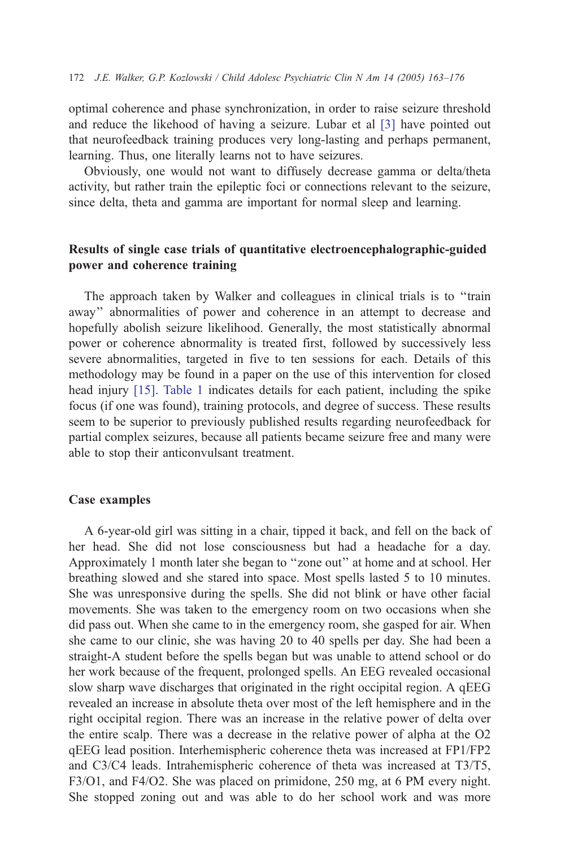optimal coherence and phase synchronization, in order to raise seizure threshold and reduce the likehood of having a seizure. Lubar et al [\[3\]](#page-11-0) have pointed out that neurofeedback training produces very long-lasting and perhaps permanent, learning. Thus, one literally learns not to have seizures.

Obviously, one would not want to diffusely decrease gamma or delta/theta activity, but rather train the epileptic foci or connections relevant to the seizure, since delta, theta and gamma are important for normal sleep and learning.

## Results of single case trials of quantitative electroencephalographic-guided power and coherence training

The approach taken by Walker and colleagues in clinical trials is to ''train away'' abnormalities of power and coherence in an attempt to decrease and hopefully abolish seizure likelihood. Generally, the most statistically abnormal power or coherence abnormality is treated first, followed by successively less severe abnormalities, targeted in five to ten sessions for each. Details of this methodology may be found in a paper on the use of this intervention for closed head injury [\[15\].](#page-12-0) [Table 1](#page-5-0) indicates details for each patient, including the spike focus (if one was found), training protocols, and degree of success. These results seem to be superior to previously published results regarding neurofeedback for partial complex seizures, because all patients became seizure free and many were able to stop their anticonvulsant treatment.

#### Case examples

A 6-year-old girl was sitting in a chair, tipped it back, and fell on the back of her head. She did not lose consciousness but had a headache for a day. Approximately 1 month later she began to ''zone out'' at home and at school. Her breathing slowed and she stared into space. Most spells lasted 5 to 10 minutes. She was unresponsive during the spells. She did not blink or have other facial movements. She was taken to the emergency room on two occasions when she did pass out. When she came to in the emergency room, she gasped for air. When she came to our clinic, she was having 20 to 40 spells per day. She had been a straight-A student before the spells began but was unable to attend school or do her work because of the frequent, prolonged spells. An EEG revealed occasional slow sharp wave discharges that originated in the right occipital region. A qEEG revealed an increase in absolute theta over most of the left hemisphere and in the right occipital region. There was an increase in the relative power of delta over the entire scalp. There was a decrease in the relative power of alpha at the O2 qEEG lead position. Interhemispheric coherence theta was increased at FP1/FP2 and C3/C4 leads. Intrahemispheric coherence of theta was increased at T3/T5, F3/O1, and F4/O2. She was placed on primidone, 250 mg, at 6 PM every night. She stopped zoning out and was able to do her school work and was more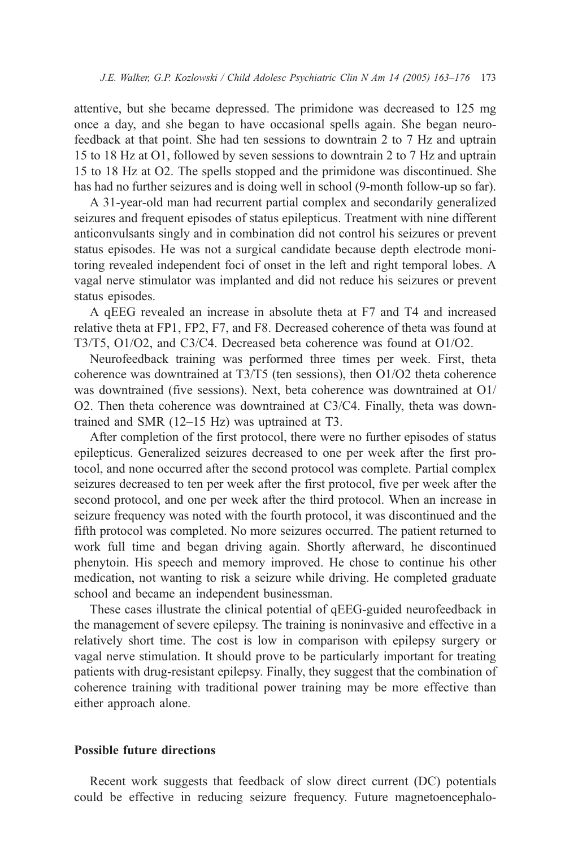attentive, but she became depressed. The primidone was decreased to 125 mg once a day, and she began to have occasional spells again. She began neurofeedback at that point. She had ten sessions to downtrain 2 to 7 Hz and uptrain 15 to 18 Hz at O1, followed by seven sessions to downtrain 2 to 7 Hz and uptrain 15 to 18 Hz at O2. The spells stopped and the primidone was discontinued. She has had no further seizures and is doing well in school (9-month follow-up so far).

A 31-year-old man had recurrent partial complex and secondarily generalized seizures and frequent episodes of status epilepticus. Treatment with nine different anticonvulsants singly and in combination did not control his seizures or prevent status episodes. He was not a surgical candidate because depth electrode monitoring revealed independent foci of onset in the left and right temporal lobes. A vagal nerve stimulator was implanted and did not reduce his seizures or prevent status episodes.

A qEEG revealed an increase in absolute theta at F7 and T4 and increased relative theta at FP1, FP2, F7, and F8. Decreased coherence of theta was found at T3/T5, O1/O2, and C3/C4. Decreased beta coherence was found at O1/O2.

Neurofeedback training was performed three times per week. First, theta coherence was downtrained at T3/T5 (ten sessions), then O1/O2 theta coherence was downtrained (five sessions). Next, beta coherence was downtrained at O1/ O2. Then theta coherence was downtrained at C3/C4. Finally, theta was downtrained and SMR (12–15 Hz) was uptrained at T3.

After completion of the first protocol, there were no further episodes of status epilepticus. Generalized seizures decreased to one per week after the first protocol, and none occurred after the second protocol was complete. Partial complex seizures decreased to ten per week after the first protocol, five per week after the second protocol, and one per week after the third protocol. When an increase in seizure frequency was noted with the fourth protocol, it was discontinued and the fifth protocol was completed. No more seizures occurred. The patient returned to work full time and began driving again. Shortly afterward, he discontinued phenytoin. His speech and memory improved. He chose to continue his other medication, not wanting to risk a seizure while driving. He completed graduate school and became an independent businessman.

These cases illustrate the clinical potential of qEEG-guided neurofeedback in the management of severe epilepsy. The training is noninvasive and effective in a relatively short time. The cost is low in comparison with epilepsy surgery or vagal nerve stimulation. It should prove to be particularly important for treating patients with drug-resistant epilepsy. Finally, they suggest that the combination of coherence training with traditional power training may be more effective than either approach alone.

## Possible future directions

Recent work suggests that feedback of slow direct current (DC) potentials could be effective in reducing seizure frequency. Future magnetoencephalo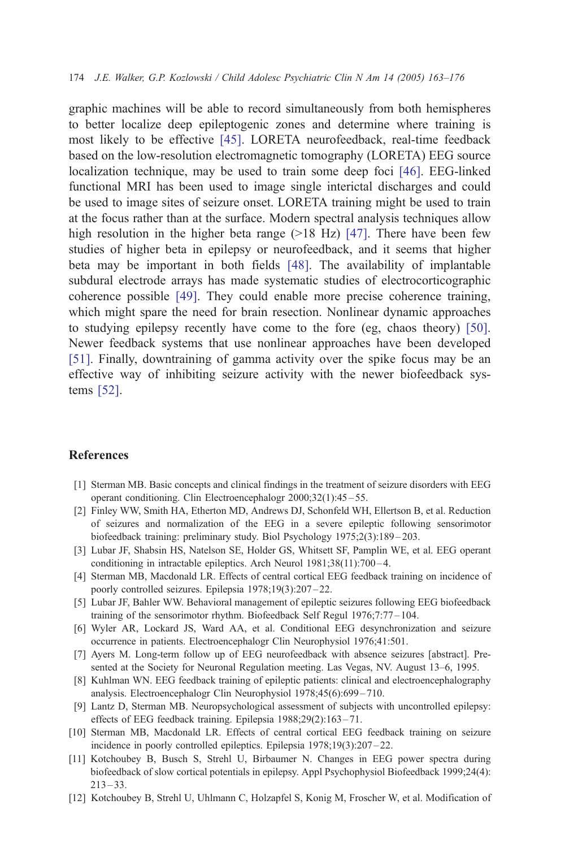<span id="page-11-0"></span>graphic machines will be able to record simultaneously from both hemispheres to better localize deep epileptogenic zones and determine where training is most likely to be effective [\[45\].](#page-13-0) LORETA neurofeedback, real-time feedback based on the low-resolution electromagnetic tomography (LORETA) EEG source localization technique, may be used to train some deep foci [\[46\].](#page-13-0) EEG-linked functional MRI has been used to image single interictal discharges and could be used to image sites of seizure onset. LORETA training might be used to train at the focus rather than at the surface. Modern spectral analysis techniques allow high resolution in the higher beta range  $(>18$  Hz) [\[47\].](#page-13-0) There have been few studies of higher beta in epilepsy or neurofeedback, and it seems that higher beta may be important in both fields [\[48\].](#page-13-0) The availability of implantable subdural electrode arrays has made systematic studies of electrocorticographic coherence possible [\[49\].](#page-13-0) They could enable more precise coherence training, which might spare the need for brain resection. Nonlinear dynamic approaches to studying epilepsy recently have come to the fore (eg, chaos theory) [\[50\].](#page-13-0) Newer feedback systems that use nonlinear approaches have been developed [\[51\].](#page-13-0) Finally, downtraining of gamma activity over the spike focus may be an effective way of inhibiting seizure activity with the newer biofeedback systems [\[52\]](#page-13-0).

#### References

- [1] Sterman MB. Basic concepts and clinical findings in the treatment of seizure disorders with EEG operant conditioning. Clin Electroencephalogr 2000;32(1):45 – 55.
- [2] Finley WW, Smith HA, Etherton MD, Andrews DJ, Schonfeld WH, Ellertson B, et al. Reduction of seizures and normalization of the EEG in a severe epileptic following sensorimotor biofeedback training: preliminary study. Biol Psychology 1975;2(3):189 – 203.
- [3] Lubar JF, Shabsin HS, Natelson SE, Holder GS, Whitsett SF, Pamplin WE, et al. EEG operant conditioning in intractable epileptics. Arch Neurol 1981;38(11):700-4.
- [4] Sterman MB, Macdonald LR. Effects of central cortical EEG feedback training on incidence of poorly controlled seizures. Epilepsia 1978;19(3):207 – 22.
- [5] Lubar JF, Bahler WW. Behavioral management of epileptic seizures following EEG biofeedback training of the sensorimotor rhythm. Biofeedback Self Regul 1976;7:77 – 104.
- [6] Wyler AR, Lockard JS, Ward AA, et al. Conditional EEG desynchronization and seizure occurrence in patients. Electroencephalogr Clin Neurophysiol 1976;41:501.
- [7] Ayers M. Long-term follow up of EEG neurofeedback with absence seizures [abstract]. Presented at the Society for Neuronal Regulation meeting. Las Vegas, NV. August 13–6, 1995.
- [8] Kuhlman WN. EEG feedback training of epileptic patients: clinical and electroencephalography analysis. Electroencephalogr Clin Neurophysiol 1978;45(6):699 – 710.
- [9] Lantz D, Sterman MB. Neuropsychological assessment of subjects with uncontrolled epilepsy: effects of EEG feedback training. Epilepsia 1988;29(2):163 – 71.
- [10] Sterman MB, Macdonald LR. Effects of central cortical EEG feedback training on seizure incidence in poorly controlled epileptics. Epilepsia 1978;19(3):207 – 22.
- [11] Kotchoubey B, Busch S, Strehl U, Birbaumer N. Changes in EEG power spectra during biofeedback of slow cortical potentials in epilepsy. Appl Psychophysiol Biofeedback 1999;24(4):  $213 - 33.$
- [12] Kotchoubey B, Strehl U, Uhlmann C, Holzapfel S, Konig M, Froscher W, et al. Modification of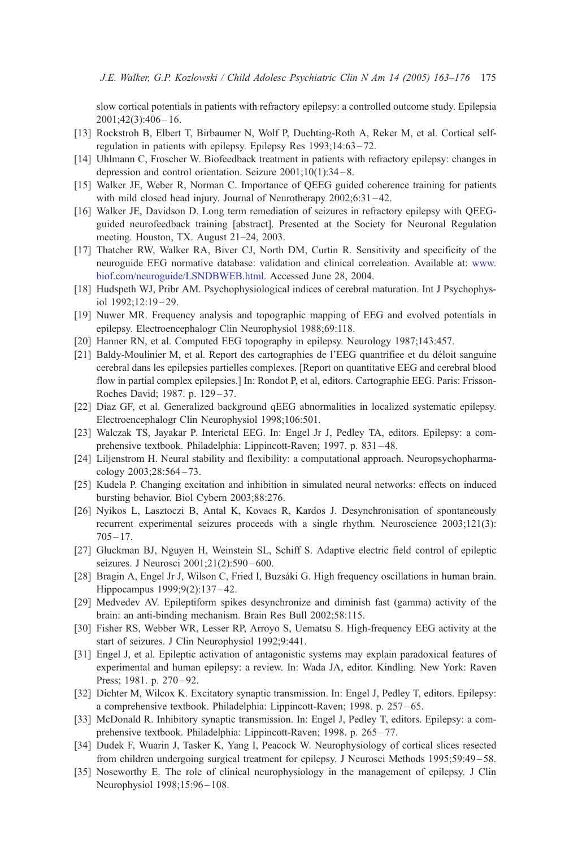<span id="page-12-0"></span>slow cortical potentials in patients with refractory epilepsy: a controlled outcome study. Epilepsia 2001;42(3):406 – 16.

- [13] Rockstroh B, Elbert T, Birbaumer N, Wolf P, Duchting-Roth A, Reker M, et al. Cortical selfregulation in patients with epilepsy. Epilepsy Res 1993;14:63 – 72.
- [14] Uhlmann C, Froscher W. Biofeedback treatment in patients with refractory epilepsy: changes in depression and control orientation. Seizure 2001;10(1):34 – 8.
- [15] Walker JE, Weber R, Norman C. Importance of QEEG guided coherence training for patients with mild closed head injury. Journal of Neurotherapy 2002;6:31-42.
- [16] Walker JE, Davidson D. Long term remediation of seizures in refractory epilepsy with QEEGguided neurofeedback training [abstract]. Presented at the Society for Neuronal Regulation meeting. Houston, TX. August 21–24, 2003.
- [17] Thatcher RW, Walker RA, Biver CJ, North DM, Curtin R. Sensitivity and specificity of the neuroguide EEG normative database: validation and clinical correleation. Available at: [www.]( http:\\www.biof.com\neuroguide\LSNDBWEB.html ) biof.com/neuroguide/LSNDBWEB.html. Accessed June 28, 2004.
- [18] Hudspeth WJ, Pribr AM. Psychophysiological indices of cerebral maturation. Int J Psychophysiol 1992;12:19 – 29.
- [19] Nuwer MR. Frequency analysis and topographic mapping of EEG and evolved potentials in epilepsy. Electroencephalogr Clin Neurophysiol 1988;69:118.
- [20] Hanner RN, et al. Computed EEG topography in epilepsy. Neurology 1987;143:457.
- [21] Baldy-Moulinier M, et al. Report des cartographies de l'EEG quantrifiee et du déloit sanguine cerebral dans les epilepsies partielles complexes. [Report on quantitative EEG and cerebral blood flow in partial complex epilepsies.] In: Rondot P, et al, editors. Cartographie EEG. Paris: Frisson-Roches David; 1987. p. 129-37.
- [22] Diaz GF, et al. Generalized background qEEG abnormalities in localized systematic epilepsy. Electroencephalogr Clin Neurophysiol 1998;106:501.
- [23] Walczak TS, Jayakar P. Interictal EEG. In: Engel Jr J, Pedley TA, editors. Epilepsy: a comprehensive textbook. Philadelphia: Lippincott-Raven; 1997. p. 831-48.
- [24] Liljenstrom H. Neural stability and flexibility: a computational approach. Neuropsychopharmacology 2003;28:564 – 73.
- [25] Kudela P. Changing excitation and inhibition in simulated neural networks: effects on induced bursting behavior. Biol Cybern 2003;88:276.
- [26] Nyikos L, Lasztoczi B, Antal K, Kovacs R, Kardos J. Desynchronisation of spontaneously recurrent experimental seizures proceeds with a single rhythm. Neuroscience 2003;121(3):  $705 - 17.$
- [27] Gluckman BJ, Nguyen H, Weinstein SL, Schiff S. Adaptive electric field control of epileptic seizures. J Neurosci 2001;21(2):590-600.
- [28] Bragin A, Engel Jr J, Wilson C, Fried I, Buzsáki G. High frequency oscillations in human brain. Hippocampus 1999;9(2):137 – 42.
- [29] Medvedev AV. Epileptiform spikes desynchronize and diminish fast (gamma) activity of the brain: an anti-binding mechanism. Brain Res Bull 2002;58:115.
- [30] Fisher RS, Webber WR, Lesser RP, Arroyo S, Uematsu S. High-frequency EEG activity at the start of seizures. J Clin Neurophysiol 1992;9:441.
- [31] Engel J, et al. Epileptic activation of antagonistic systems may explain paradoxical features of experimental and human epilepsy: a review. In: Wada JA, editor. Kindling. New York: Raven Press; 1981. p. 270-92.
- [32] Dichter M, Wilcox K. Excitatory synaptic transmission. In: Engel J, Pedley T, editors. Epilepsy: a comprehensive textbook. Philadelphia: Lippincott-Raven; 1998. p. 257-65.
- [33] McDonald R. Inhibitory synaptic transmission. In: Engel J, Pedley T, editors. Epilepsy: a comprehensive textbook. Philadelphia: Lippincott-Raven; 1998. p. 265 – 77.
- [34] Dudek F, Wuarin J, Tasker K, Yang I, Peacock W. Neurophysiology of cortical slices resected from children undergoing surgical treatment for epilepsy. J Neurosci Methods 1995;59:49 – 58.
- [35] Noseworthy E. The role of clinical neurophysiology in the management of epilepsy. J Clin Neurophysiol 1998;15:96 – 108.